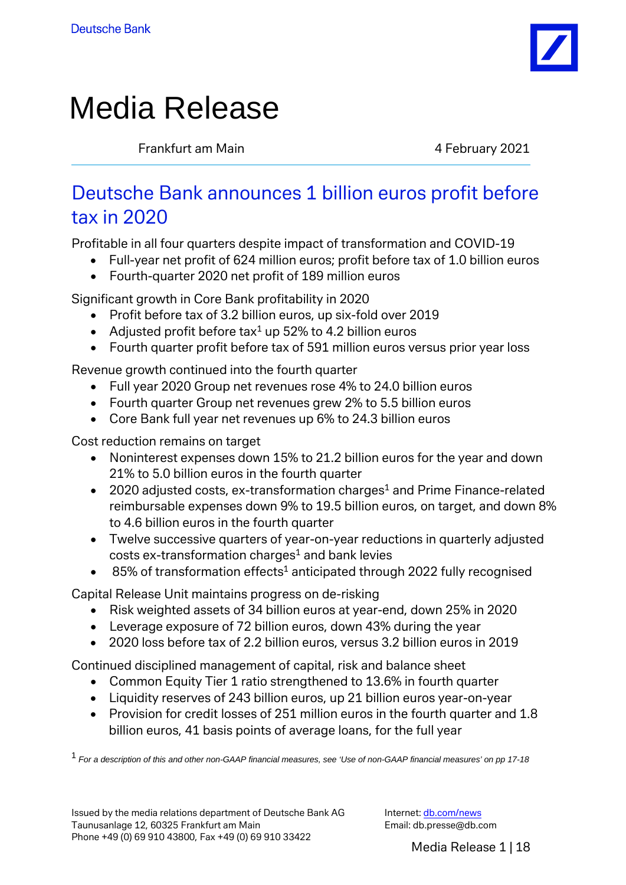

# Media Release

Frankfurt am Main **1988** and 1989 and 1989 and 1989 and 1989 and 1989 and 1989 and 1989 and 1989 and 1989 and 19

# Deutsche Bank announces 1 billion euros profit before tax in 2020

Profitable in all four quarters despite impact of transformation and COVID-19

- Full-year net profit of 624 million euros; profit before tax of 1.0 billion euros
- Fourth-quarter 2020 net profit of 189 million euros

Significant growth in Core Bank profitability in 2020

- Profit before tax of 3.2 billion euros, up six-fold over 2019
- Adjusted profit before tax<sup>1</sup> up 52% to 4.2 billion euros
- Fourth quarter profit before tax of 591 million euros versus prior year loss

Revenue growth continued into the fourth quarter

- Full year 2020 Group net revenues rose 4% to 24.0 billion euros
- Fourth quarter Group net revenues grew 2% to 5.5 billion euros
- Core Bank full year net revenues up 6% to 24.3 billion euros

Cost reduction remains on target

- Noninterest expenses down 15% to 21.2 billion euros for the year and down 21% to 5.0 billion euros in the fourth quarter
- 2020 adjusted costs, ex-transformation charges<sup>1</sup> and Prime Finance-related reimbursable expenses down 9% to 19.5 billion euros, on target, and down 8% to 4.6 billion euros in the fourth quarter
- Twelve successive quarters of year-on-year reductions in quarterly adjusted costs ex-transformation charges<sup>1</sup> and bank levies
- $\bullet$  85% of transformation effects<sup>1</sup> anticipated through 2022 fully recognised

Capital Release Unit maintains progress on de-risking

- Risk weighted assets of 34 billion euros at year-end, down 25% in 2020
- Leverage exposure of 72 billion euros, down 43% during the year
- 2020 loss before tax of 2.2 billion euros, versus 3.2 billion euros in 2019

Continued disciplined management of capital, risk and balance sheet

- Common Equity Tier 1 ratio strengthened to 13.6% in fourth quarter
- Liquidity reserves of 243 billion euros, up 21 billion euros year-on-year
- Provision for credit losses of 251 million euros in the fourth quarter and 1.8 billion euros, 41 basis points of average loans, for the full year

1 *For a description of this and other non-GAAP financial measures, see 'Use of non-GAAP financial measures' on pp 17-18*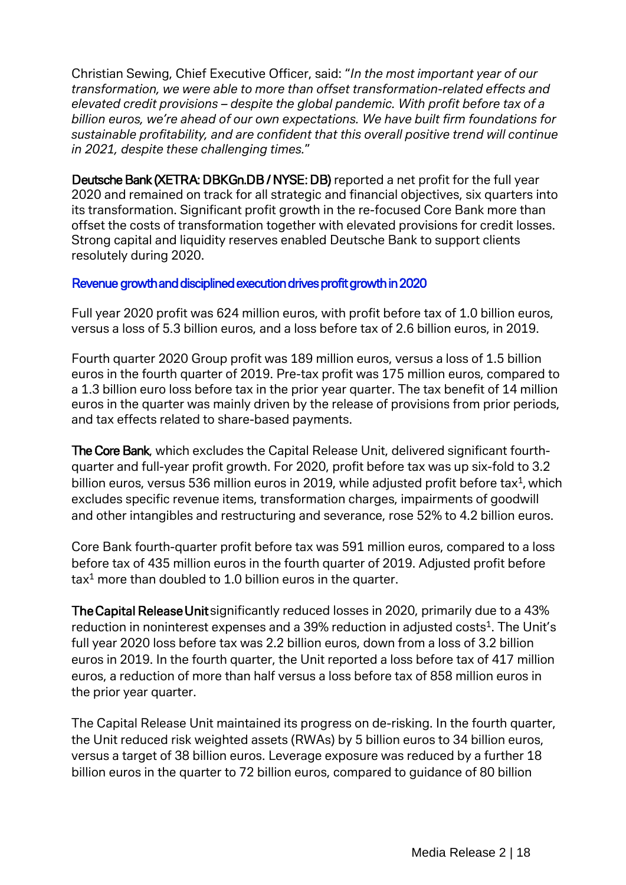Christian Sewing, Chief Executive Officer, said: "*In the most important year of our transformation, we were able to more than offset transformation-related effects and elevated credit provisions – despite the global pandemic. With profit before tax of a billion euros, we're ahead of our own expectations. We have built firm foundations for sustainable profitability, and are confident that this overall positive trend will continue in 2021, despite these challenging times.*"

Deutsche Bank (XETRA: DBKGn.DB / NYSE: DB) reported a net profit for the full year 2020 and remained on track for all strategic and financial objectives, six quarters into its transformation. Significant profit growth in the re-focused Core Bank more than offset the costs of transformation together with elevated provisions for credit losses. Strong capital and liquidity reserves enabled Deutsche Bank to support clients resolutely during 2020.

#### Revenue growth and disciplined execution drives profit growth in 2020

Full year 2020 profit was 624 million euros, with profit before tax of 1.0 billion euros, versus a loss of 5.3 billion euros, and a loss before tax of 2.6 billion euros, in 2019.

Fourth quarter 2020 Group profit was 189 million euros, versus a loss of 1.5 billion euros in the fourth quarter of 2019. Pre-tax profit was 175 million euros, compared to a 1.3 billion euro loss before tax in the prior year quarter. The tax benefit of 14 million euros in the quarter was mainly driven by the release of provisions from prior periods, and tax effects related to share-based payments.

The Core Bank, which excludes the Capital Release Unit, delivered significant fourthquarter and full-year profit growth. For 2020, profit before tax was up six-fold to 3.2 billion euros, versus 536 million euros in 2019, while adjusted profit before tax<sup>1</sup>, which excludes specific revenue items, transformation charges, impairments of goodwill and other intangibles and restructuring and severance, rose 52% to 4.2 billion euros.

Core Bank fourth-quarter profit before tax was 591 million euros, compared to a loss before tax of 435 million euros in the fourth quarter of 2019. Adjusted profit before  $\text{tax}^1$  more than doubled to 1.0 billion euros in the quarter.

The Capital Release Unit significantly reduced losses in 2020, primarily due to a 43% reduction in noninterest expenses and a 39% reduction in adjusted costs $^1$ . The Unit's full year 2020 loss before tax was 2.2 billion euros, down from a loss of 3.2 billion euros in 2019. In the fourth quarter, the Unit reported a loss before tax of 417 million euros, a reduction of more than half versus a loss before tax of 858 million euros in the prior year quarter.

The Capital Release Unit maintained its progress on de-risking. In the fourth quarter, the Unit reduced risk weighted assets (RWAs) by 5 billion euros to 34 billion euros, versus a target of 38 billion euros. Leverage exposure was reduced by a further 18 billion euros in the quarter to 72 billion euros, compared to guidance of 80 billion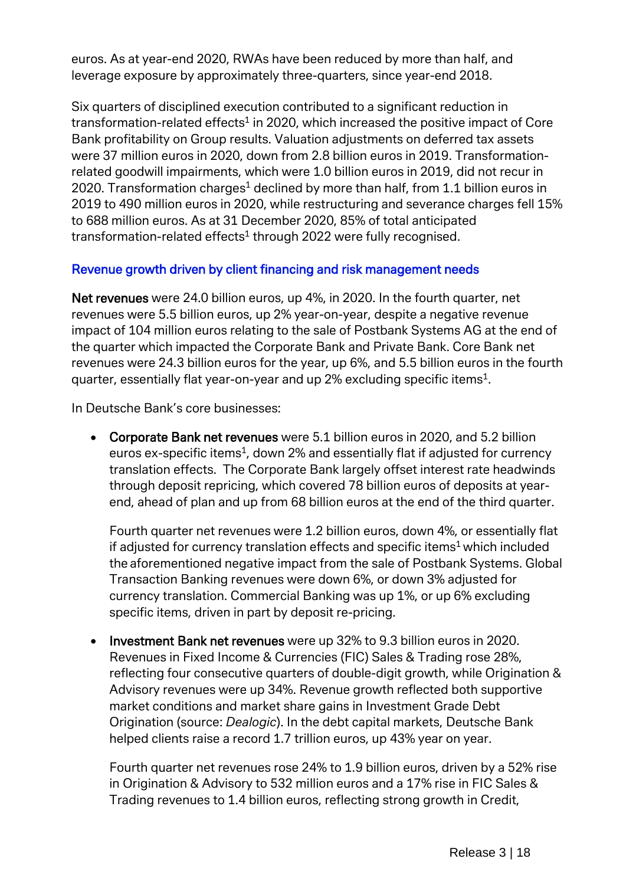euros. As at year-end 2020, RWAs have been reduced by more than half, and leverage exposure by approximately three-quarters, since year-end 2018.

Six quarters of disciplined execution contributed to a significant reduction in transformation-related effects<sup>1</sup> in 2020, which increased the positive impact of Core Bank profitability on Group results. Valuation adjustments on deferred tax assets were 37 million euros in 2020, down from 2.8 billion euros in 2019. Transformationrelated goodwill impairments, which were 1.0 billion euros in 2019, did not recur in 2020. Transformation charges<sup>1</sup> declined by more than half, from 1.1 billion euros in 2019 to 490 million euros in 2020, while restructuring and severance charges fell 15% to 688 million euros. As at 31 December 2020, 85% of total anticipated transformation-related effects<sup>1</sup> through 2022 were fully recognised.

# Revenue growth driven by client financing and risk management needs

Net revenues were 24.0 billion euros, up 4%, in 2020. In the fourth quarter, net revenues were 5.5 billion euros, up 2% year-on-year, despite a negative revenue impact of 104 million euros relating to the sale of Postbank Systems AG at the end of the quarter which impacted the Corporate Bank and Private Bank. Core Bank net revenues were 24.3 billion euros for the year, up 6%, and 5.5 billion euros in the fourth quarter, essentially flat year-on-year and up 2% excluding specific items1.

In Deutsche Bank's core businesses:

• Corporate Bank net revenues were 5.1 billion euros in 2020, and 5.2 billion euros ex-specific items<sup>1</sup>, down 2% and essentially flat if adjusted for currency translation effects. The Corporate Bank largely offset interest rate headwinds through deposit repricing, which covered 78 billion euros of deposits at yearend, ahead of plan and up from 68 billion euros at the end of the third quarter.

Fourth quarter net revenues were 1.2 billion euros, down 4%, or essentially flat if adjusted for currency translation effects and specific items<sup>1</sup> which included the aforementioned negative impact from the sale of Postbank Systems. Global Transaction Banking revenues were down 6%, or down 3% adjusted for currency translation. Commercial Banking was up 1%, or up 6% excluding specific items, driven in part by deposit re-pricing.

• Investment Bank net revenues were up 32% to 9.3 billion euros in 2020. Revenues in Fixed Income & Currencies (FIC) Sales & Trading rose 28%, reflecting four consecutive quarters of double-digit growth, while Origination & Advisory revenues were up 34%. Revenue growth reflected both supportive market conditions and market share gains in Investment Grade Debt Origination (source: *Dealogic*). In the debt capital markets, Deutsche Bank helped clients raise a record 1.7 trillion euros, up 43% year on year.

Fourth quarter net revenues rose 24% to 1.9 billion euros, driven by a 52% rise in Origination & Advisory to 532 million euros and a 17% rise in FIC Sales & Trading revenues to 1.4 billion euros, reflecting strong growth in Credit,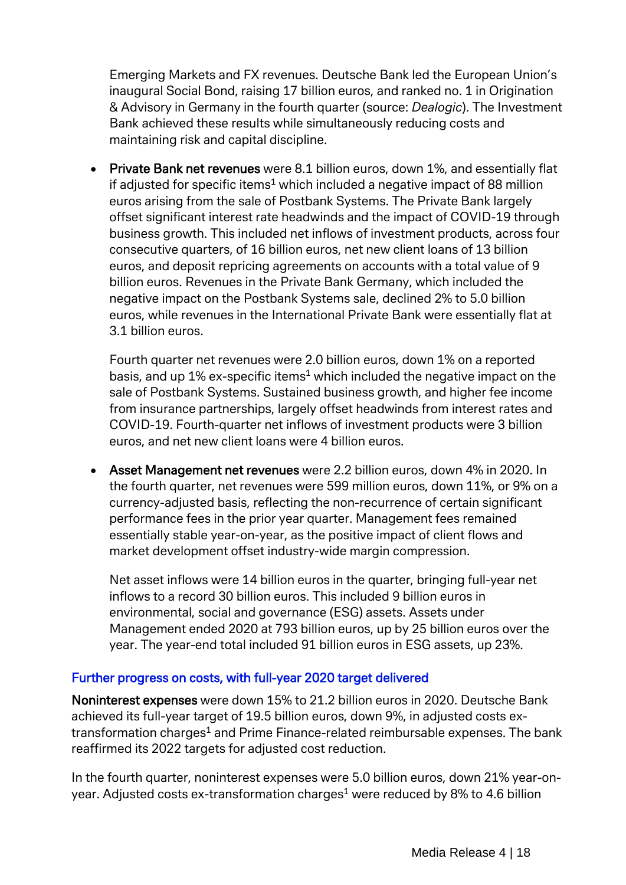Emerging Markets and FX revenues. Deutsche Bank led the European Union's inaugural Social Bond, raising 17 billion euros, and ranked no. 1 in Origination & Advisory in Germany in the fourth quarter (source: *Dealogic*). The Investment Bank achieved these results while simultaneously reducing costs and maintaining risk and capital discipline.

• Private Bank net revenues were 8.1 billion euros, down 1%, and essentially flat if adjusted for specific items<sup>1</sup> which included a negative impact of 88 million euros arising from the sale of Postbank Systems. The Private Bank largely offset significant interest rate headwinds and the impact of COVID-19 through business growth. This included net inflows of investment products, across four consecutive quarters, of 16 billion euros, net new client loans of 13 billion euros, and deposit repricing agreements on accounts with a total value of 9 billion euros. Revenues in the Private Bank Germany, which included the negative impact on the Postbank Systems sale, declined 2% to 5.0 billion euros, while revenues in the International Private Bank were essentially flat at 3.1 billion euros.

Fourth quarter net revenues were 2.0 billion euros, down 1% on a reported basis, and up  $1\%$  ex-specific items<sup>1</sup> which included the negative impact on the sale of Postbank Systems. Sustained business growth, and higher fee income from insurance partnerships, largely offset headwinds from interest rates and COVID-19. Fourth-quarter net inflows of investment products were 3 billion euros, and net new client loans were 4 billion euros.

• Asset Management net revenues were 2.2 billion euros, down 4% in 2020. In the fourth quarter, net revenues were 599 million euros, down 11%, or 9% on a currency-adjusted basis, reflecting the non-recurrence of certain significant performance fees in the prior year quarter. Management fees remained essentially stable year-on-year, as the positive impact of client flows and market development offset industry-wide margin compression.

Net asset inflows were 14 billion euros in the quarter, bringing full-year net inflows to a record 30 billion euros. This included 9 billion euros in environmental, social and governance (ESG) assets. Assets under Management ended 2020 at 793 billion euros, up by 25 billion euros over the year. The year-end total included 91 billion euros in ESG assets, up 23%.

#### Further progress on costs, with full-year 2020 target delivered

Noninterest expenses were down 15% to 21.2 billion euros in 2020. Deutsche Bank achieved its full-year target of 19.5 billion euros, down 9%, in adjusted costs extransformation charges<sup>1</sup> and Prime Finance-related reimbursable expenses. The bank reaffirmed its 2022 targets for adjusted cost reduction.

In the fourth quarter, noninterest expenses were 5.0 billion euros, down 21% year-onyear. Adjusted costs ex-transformation charges<sup>1</sup> were reduced by 8% to 4.6 billion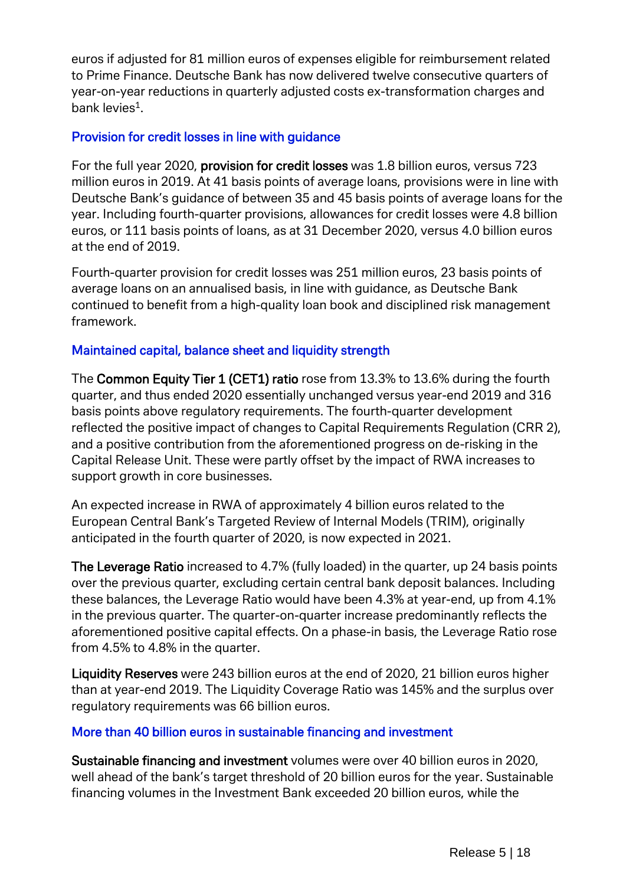euros if adjusted for 81 million euros of expenses eligible for reimbursement related to Prime Finance. Deutsche Bank has now delivered twelve consecutive quarters of year-on-year reductions in quarterly adjusted costs ex-transformation charges and bank levies $<sup>1</sup>$ .</sup>

#### Provision for credit losses in line with guidance

For the full year 2020, provision for credit losses was 1.8 billion euros, versus 723 million euros in 2019. At 41 basis points of average loans, provisions were in line with Deutsche Bank's guidance of between 35 and 45 basis points of average loans for the year. Including fourth-quarter provisions, allowances for credit losses were 4.8 billion euros, or 111 basis points of loans, as at 31 December 2020, versus 4.0 billion euros at the end of 2019.

Fourth-quarter provision for credit losses was 251 million euros, 23 basis points of average loans on an annualised basis, in line with guidance, as Deutsche Bank continued to benefit from a high-quality loan book and disciplined risk management framework.

#### Maintained capital, balance sheet and liquidity strength

The Common Equity Tier 1 (CET1) ratio rose from 13.3% to 13.6% during the fourth quarter, and thus ended 2020 essentially unchanged versus year-end 2019 and 316 basis points above regulatory requirements. The fourth-quarter development reflected the positive impact of changes to Capital Requirements Regulation (CRR 2), and a positive contribution from the aforementioned progress on de-risking in the Capital Release Unit. These were partly offset by the impact of RWA increases to support growth in core businesses.

An expected increase in RWA of approximately 4 billion euros related to the European Central Bank's Targeted Review of Internal Models (TRIM), originally anticipated in the fourth quarter of 2020, is now expected in 2021.

The Leverage Ratio increased to 4.7% (fully loaded) in the quarter, up 24 basis points over the previous quarter, excluding certain central bank deposit balances. Including these balances, the Leverage Ratio would have been 4.3% at year-end, up from 4.1% in the previous quarter. The quarter-on-quarter increase predominantly reflects the aforementioned positive capital effects. On a phase-in basis, the Leverage Ratio rose from 4.5% to 4.8% in the quarter.

Liquidity Reserves were 243 billion euros at the end of 2020, 21 billion euros higher than at year-end 2019. The Liquidity Coverage Ratio was 145% and the surplus over regulatory requirements was 66 billion euros.

#### More than 40 billion euros in sustainable financing and investment

Sustainable financing and investment volumes were over 40 billion euros in 2020, well ahead of the bank's target threshold of 20 billion euros for the year. Sustainable financing volumes in the Investment Bank exceeded 20 billion euros, while the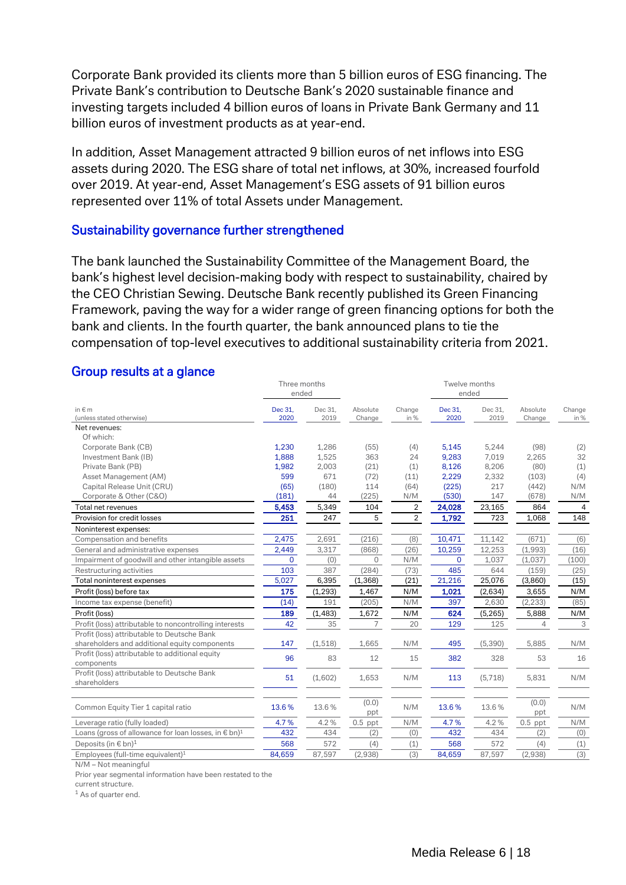Corporate Bank provided its clients more than 5 billion euros of ESG financing. The Private Bank's contribution to Deutsche Bank's 2020 sustainable finance and investing targets included 4 billion euros of loans in Private Bank Germany and 11 billion euros of investment products as at year-end.

In addition, Asset Management attracted 9 billion euros of net inflows into ESG assets during 2020. The ESG share of total net inflows, at 30%, increased fourfold over 2019. At year-end, Asset Management's ESG assets of 91 billion euros represented over 11% of total Assets under Management.

#### Sustainability governance further strengthened

The bank launched the Sustainability Committee of the Management Board, the bank's highest level decision-making body with respect to sustainability, chaired by the CEO Christian Sewing. Deutsche Bank recently published its Green Financing Framework, paving the way for a wider range of green financing options for both the bank and clients. In the fourth quarter, the bank announced plans to tie the compensation of top-level executives to additional sustainability criteria from 2021.

#### Group results at a glance

| Dec 31,<br>Dec 31,<br>Dec 31,<br>Change<br>in $\notin$ m<br>Dec 31,<br>Absolute<br>Change<br>Absolute<br>2020<br>(unless stated otherwise)<br>2020<br>2019<br>in %<br>2019<br>in %<br>Change<br>Change<br>Net revenues:<br>Of which:<br>1,286<br>(98)<br>(2)<br>Corporate Bank (CB)<br>1,230<br>(55)<br>(4)<br>5,145<br>5,244<br>1,888<br>363<br>32<br>Investment Bank (IB)<br>1,525<br>24<br>9,283<br>7,019<br>2,265<br>8,206<br>(1)<br>Private Bank (PB)<br>1,982<br>2,003<br>(21)<br>(1)<br>8,126<br>(80)<br>671<br>Asset Management (AM)<br>599<br>(72)<br>2,229<br>2,332<br>(103)<br>(4)<br>(11)<br>Capital Release Unit (CRU)<br>(65)<br>114<br>217<br>(180)<br>(64)<br>(225)<br>(442)<br>N/M<br>(181)<br>(225)<br>N/M<br>(530)<br>147<br>(678)<br>N/M<br>Corporate & Other (C&O)<br>44<br>5,349<br>5,453<br>104<br>2<br>24,028<br>23,165<br>864<br>$\overline{4}$<br>Total net revenues<br>Provision for credit losses<br>251<br>5<br>2<br>723<br>148<br>247<br>1,792<br>1,068<br>Noninterest expenses:<br>2,475<br>2,691<br>11,142<br>(671)<br>Compensation and benefits<br>(216)<br>(8)<br>10,471<br>(6)<br>2,449<br>3,317<br>(868)<br>(26)<br>10,259<br>12,253<br>(1,993)<br>(16)<br>General and administrative expenses<br>Impairment of goodwill and other intangible assets<br>(0)<br>N/M<br>1,037<br>(1,037)<br>(100)<br>$\Omega$<br>$\Omega$<br>$\Omega$<br>387<br>(284)<br>485<br>644<br>Restructuring activities<br>103<br>(73)<br>(159)<br>(25)<br>5,027<br>6,395<br>21,216<br>25,076<br>(1, 368)<br>(21)<br>(3,860)<br>(15)<br>Total noninterest expenses<br>175<br>N/M<br>1,021<br>N/M<br>Profit (loss) before tax<br>(1, 293)<br>1,467<br>(2,634)<br>3,655<br>(205)<br>(2, 233)<br>(14)<br>191<br>N/M<br>397<br>2,630<br>(85)<br>Income tax expense (benefit)<br>(1,483)<br>N/M<br>(5, 265)<br>5,888<br>N/M<br>Profit (loss)<br>189<br>1,672<br>624<br>3<br>Profit (loss) attributable to noncontrolling interests<br>42<br>35<br>20<br>129<br>125<br>7<br>$\overline{4}$<br>Profit (loss) attributable to Deutsche Bank<br>1,665<br>5,885<br>shareholders and additional equity components<br>147<br>(1, 518)<br>N/M<br>495<br>(5, 390)<br>N/M<br>Profit (loss) attributable to additional equity<br>96<br>83<br>12<br>15<br>382<br>328<br>53<br>16<br>components<br>Profit (loss) attributable to Deutsche Bank<br>51<br>(1,602)<br>1,653<br>N/M<br>(5,718)<br>5,831<br>N/M<br>113<br>shareholders<br>(0.0)<br>(0.0)<br>13.6%<br>Common Equity Tier 1 capital ratio<br>13.6%<br>13.6%<br>N/M<br>13.6%<br>N/M<br>ppt<br>ppt<br>4.7%<br>4.2%<br>N/M<br>4.7%<br>4.2%<br>$0.5$ ppt<br>$0.5$ ppt<br>N/M<br>Leverage ratio (fully loaded)<br>Loans (gross of allowance for loan losses, in $\epsilon$ bn) <sup>1</sup><br>432<br>434<br>(2)<br>(0)<br>432<br>434<br>(2)<br>(0)<br>568<br>568<br>Deposits (in $\epsilon$ bn) <sup>1</sup><br>572<br>(4)<br>572<br>(1)<br>(1)<br>(4)<br>Employees (full-time equivalent) <sup>1</sup><br>84,659<br>87,597<br>(3)<br>84,659<br>87,597<br>(2,938)<br>(3)<br>(2,938) | Three months<br>ended |  | Twelve months<br>ended |  |  |
|----------------------------------------------------------------------------------------------------------------------------------------------------------------------------------------------------------------------------------------------------------------------------------------------------------------------------------------------------------------------------------------------------------------------------------------------------------------------------------------------------------------------------------------------------------------------------------------------------------------------------------------------------------------------------------------------------------------------------------------------------------------------------------------------------------------------------------------------------------------------------------------------------------------------------------------------------------------------------------------------------------------------------------------------------------------------------------------------------------------------------------------------------------------------------------------------------------------------------------------------------------------------------------------------------------------------------------------------------------------------------------------------------------------------------------------------------------------------------------------------------------------------------------------------------------------------------------------------------------------------------------------------------------------------------------------------------------------------------------------------------------------------------------------------------------------------------------------------------------------------------------------------------------------------------------------------------------------------------------------------------------------------------------------------------------------------------------------------------------------------------------------------------------------------------------------------------------------------------------------------------------------------------------------------------------------------------------------------------------------------------------------------------------------------------------------------------------------------------------------------------------------------------------------------------------------------------------------------------------------------------------------------------------------------------------------------------------------------------------------------------------------------------------------------------------------------------------------------------------------------------------------------------------------------------------------------------------------------------------------------------------------------------------|-----------------------|--|------------------------|--|--|
|                                                                                                                                                                                                                                                                                                                                                                                                                                                                                                                                                                                                                                                                                                                                                                                                                                                                                                                                                                                                                                                                                                                                                                                                                                                                                                                                                                                                                                                                                                                                                                                                                                                                                                                                                                                                                                                                                                                                                                                                                                                                                                                                                                                                                                                                                                                                                                                                                                                                                                                                                                                                                                                                                                                                                                                                                                                                                                                                                                                                                                  |                       |  |                        |  |  |
|                                                                                                                                                                                                                                                                                                                                                                                                                                                                                                                                                                                                                                                                                                                                                                                                                                                                                                                                                                                                                                                                                                                                                                                                                                                                                                                                                                                                                                                                                                                                                                                                                                                                                                                                                                                                                                                                                                                                                                                                                                                                                                                                                                                                                                                                                                                                                                                                                                                                                                                                                                                                                                                                                                                                                                                                                                                                                                                                                                                                                                  |                       |  |                        |  |  |
|                                                                                                                                                                                                                                                                                                                                                                                                                                                                                                                                                                                                                                                                                                                                                                                                                                                                                                                                                                                                                                                                                                                                                                                                                                                                                                                                                                                                                                                                                                                                                                                                                                                                                                                                                                                                                                                                                                                                                                                                                                                                                                                                                                                                                                                                                                                                                                                                                                                                                                                                                                                                                                                                                                                                                                                                                                                                                                                                                                                                                                  |                       |  |                        |  |  |
|                                                                                                                                                                                                                                                                                                                                                                                                                                                                                                                                                                                                                                                                                                                                                                                                                                                                                                                                                                                                                                                                                                                                                                                                                                                                                                                                                                                                                                                                                                                                                                                                                                                                                                                                                                                                                                                                                                                                                                                                                                                                                                                                                                                                                                                                                                                                                                                                                                                                                                                                                                                                                                                                                                                                                                                                                                                                                                                                                                                                                                  |                       |  |                        |  |  |
|                                                                                                                                                                                                                                                                                                                                                                                                                                                                                                                                                                                                                                                                                                                                                                                                                                                                                                                                                                                                                                                                                                                                                                                                                                                                                                                                                                                                                                                                                                                                                                                                                                                                                                                                                                                                                                                                                                                                                                                                                                                                                                                                                                                                                                                                                                                                                                                                                                                                                                                                                                                                                                                                                                                                                                                                                                                                                                                                                                                                                                  |                       |  |                        |  |  |
|                                                                                                                                                                                                                                                                                                                                                                                                                                                                                                                                                                                                                                                                                                                                                                                                                                                                                                                                                                                                                                                                                                                                                                                                                                                                                                                                                                                                                                                                                                                                                                                                                                                                                                                                                                                                                                                                                                                                                                                                                                                                                                                                                                                                                                                                                                                                                                                                                                                                                                                                                                                                                                                                                                                                                                                                                                                                                                                                                                                                                                  |                       |  |                        |  |  |
|                                                                                                                                                                                                                                                                                                                                                                                                                                                                                                                                                                                                                                                                                                                                                                                                                                                                                                                                                                                                                                                                                                                                                                                                                                                                                                                                                                                                                                                                                                                                                                                                                                                                                                                                                                                                                                                                                                                                                                                                                                                                                                                                                                                                                                                                                                                                                                                                                                                                                                                                                                                                                                                                                                                                                                                                                                                                                                                                                                                                                                  |                       |  |                        |  |  |
|                                                                                                                                                                                                                                                                                                                                                                                                                                                                                                                                                                                                                                                                                                                                                                                                                                                                                                                                                                                                                                                                                                                                                                                                                                                                                                                                                                                                                                                                                                                                                                                                                                                                                                                                                                                                                                                                                                                                                                                                                                                                                                                                                                                                                                                                                                                                                                                                                                                                                                                                                                                                                                                                                                                                                                                                                                                                                                                                                                                                                                  |                       |  |                        |  |  |
|                                                                                                                                                                                                                                                                                                                                                                                                                                                                                                                                                                                                                                                                                                                                                                                                                                                                                                                                                                                                                                                                                                                                                                                                                                                                                                                                                                                                                                                                                                                                                                                                                                                                                                                                                                                                                                                                                                                                                                                                                                                                                                                                                                                                                                                                                                                                                                                                                                                                                                                                                                                                                                                                                                                                                                                                                                                                                                                                                                                                                                  |                       |  |                        |  |  |
|                                                                                                                                                                                                                                                                                                                                                                                                                                                                                                                                                                                                                                                                                                                                                                                                                                                                                                                                                                                                                                                                                                                                                                                                                                                                                                                                                                                                                                                                                                                                                                                                                                                                                                                                                                                                                                                                                                                                                                                                                                                                                                                                                                                                                                                                                                                                                                                                                                                                                                                                                                                                                                                                                                                                                                                                                                                                                                                                                                                                                                  |                       |  |                        |  |  |
|                                                                                                                                                                                                                                                                                                                                                                                                                                                                                                                                                                                                                                                                                                                                                                                                                                                                                                                                                                                                                                                                                                                                                                                                                                                                                                                                                                                                                                                                                                                                                                                                                                                                                                                                                                                                                                                                                                                                                                                                                                                                                                                                                                                                                                                                                                                                                                                                                                                                                                                                                                                                                                                                                                                                                                                                                                                                                                                                                                                                                                  |                       |  |                        |  |  |
|                                                                                                                                                                                                                                                                                                                                                                                                                                                                                                                                                                                                                                                                                                                                                                                                                                                                                                                                                                                                                                                                                                                                                                                                                                                                                                                                                                                                                                                                                                                                                                                                                                                                                                                                                                                                                                                                                                                                                                                                                                                                                                                                                                                                                                                                                                                                                                                                                                                                                                                                                                                                                                                                                                                                                                                                                                                                                                                                                                                                                                  |                       |  |                        |  |  |
|                                                                                                                                                                                                                                                                                                                                                                                                                                                                                                                                                                                                                                                                                                                                                                                                                                                                                                                                                                                                                                                                                                                                                                                                                                                                                                                                                                                                                                                                                                                                                                                                                                                                                                                                                                                                                                                                                                                                                                                                                                                                                                                                                                                                                                                                                                                                                                                                                                                                                                                                                                                                                                                                                                                                                                                                                                                                                                                                                                                                                                  |                       |  |                        |  |  |
|                                                                                                                                                                                                                                                                                                                                                                                                                                                                                                                                                                                                                                                                                                                                                                                                                                                                                                                                                                                                                                                                                                                                                                                                                                                                                                                                                                                                                                                                                                                                                                                                                                                                                                                                                                                                                                                                                                                                                                                                                                                                                                                                                                                                                                                                                                                                                                                                                                                                                                                                                                                                                                                                                                                                                                                                                                                                                                                                                                                                                                  |                       |  |                        |  |  |
|                                                                                                                                                                                                                                                                                                                                                                                                                                                                                                                                                                                                                                                                                                                                                                                                                                                                                                                                                                                                                                                                                                                                                                                                                                                                                                                                                                                                                                                                                                                                                                                                                                                                                                                                                                                                                                                                                                                                                                                                                                                                                                                                                                                                                                                                                                                                                                                                                                                                                                                                                                                                                                                                                                                                                                                                                                                                                                                                                                                                                                  |                       |  |                        |  |  |
|                                                                                                                                                                                                                                                                                                                                                                                                                                                                                                                                                                                                                                                                                                                                                                                                                                                                                                                                                                                                                                                                                                                                                                                                                                                                                                                                                                                                                                                                                                                                                                                                                                                                                                                                                                                                                                                                                                                                                                                                                                                                                                                                                                                                                                                                                                                                                                                                                                                                                                                                                                                                                                                                                                                                                                                                                                                                                                                                                                                                                                  |                       |  |                        |  |  |
|                                                                                                                                                                                                                                                                                                                                                                                                                                                                                                                                                                                                                                                                                                                                                                                                                                                                                                                                                                                                                                                                                                                                                                                                                                                                                                                                                                                                                                                                                                                                                                                                                                                                                                                                                                                                                                                                                                                                                                                                                                                                                                                                                                                                                                                                                                                                                                                                                                                                                                                                                                                                                                                                                                                                                                                                                                                                                                                                                                                                                                  |                       |  |                        |  |  |
|                                                                                                                                                                                                                                                                                                                                                                                                                                                                                                                                                                                                                                                                                                                                                                                                                                                                                                                                                                                                                                                                                                                                                                                                                                                                                                                                                                                                                                                                                                                                                                                                                                                                                                                                                                                                                                                                                                                                                                                                                                                                                                                                                                                                                                                                                                                                                                                                                                                                                                                                                                                                                                                                                                                                                                                                                                                                                                                                                                                                                                  |                       |  |                        |  |  |
|                                                                                                                                                                                                                                                                                                                                                                                                                                                                                                                                                                                                                                                                                                                                                                                                                                                                                                                                                                                                                                                                                                                                                                                                                                                                                                                                                                                                                                                                                                                                                                                                                                                                                                                                                                                                                                                                                                                                                                                                                                                                                                                                                                                                                                                                                                                                                                                                                                                                                                                                                                                                                                                                                                                                                                                                                                                                                                                                                                                                                                  |                       |  |                        |  |  |
|                                                                                                                                                                                                                                                                                                                                                                                                                                                                                                                                                                                                                                                                                                                                                                                                                                                                                                                                                                                                                                                                                                                                                                                                                                                                                                                                                                                                                                                                                                                                                                                                                                                                                                                                                                                                                                                                                                                                                                                                                                                                                                                                                                                                                                                                                                                                                                                                                                                                                                                                                                                                                                                                                                                                                                                                                                                                                                                                                                                                                                  |                       |  |                        |  |  |
|                                                                                                                                                                                                                                                                                                                                                                                                                                                                                                                                                                                                                                                                                                                                                                                                                                                                                                                                                                                                                                                                                                                                                                                                                                                                                                                                                                                                                                                                                                                                                                                                                                                                                                                                                                                                                                                                                                                                                                                                                                                                                                                                                                                                                                                                                                                                                                                                                                                                                                                                                                                                                                                                                                                                                                                                                                                                                                                                                                                                                                  |                       |  |                        |  |  |
|                                                                                                                                                                                                                                                                                                                                                                                                                                                                                                                                                                                                                                                                                                                                                                                                                                                                                                                                                                                                                                                                                                                                                                                                                                                                                                                                                                                                                                                                                                                                                                                                                                                                                                                                                                                                                                                                                                                                                                                                                                                                                                                                                                                                                                                                                                                                                                                                                                                                                                                                                                                                                                                                                                                                                                                                                                                                                                                                                                                                                                  |                       |  |                        |  |  |
|                                                                                                                                                                                                                                                                                                                                                                                                                                                                                                                                                                                                                                                                                                                                                                                                                                                                                                                                                                                                                                                                                                                                                                                                                                                                                                                                                                                                                                                                                                                                                                                                                                                                                                                                                                                                                                                                                                                                                                                                                                                                                                                                                                                                                                                                                                                                                                                                                                                                                                                                                                                                                                                                                                                                                                                                                                                                                                                                                                                                                                  |                       |  |                        |  |  |
|                                                                                                                                                                                                                                                                                                                                                                                                                                                                                                                                                                                                                                                                                                                                                                                                                                                                                                                                                                                                                                                                                                                                                                                                                                                                                                                                                                                                                                                                                                                                                                                                                                                                                                                                                                                                                                                                                                                                                                                                                                                                                                                                                                                                                                                                                                                                                                                                                                                                                                                                                                                                                                                                                                                                                                                                                                                                                                                                                                                                                                  |                       |  |                        |  |  |
|                                                                                                                                                                                                                                                                                                                                                                                                                                                                                                                                                                                                                                                                                                                                                                                                                                                                                                                                                                                                                                                                                                                                                                                                                                                                                                                                                                                                                                                                                                                                                                                                                                                                                                                                                                                                                                                                                                                                                                                                                                                                                                                                                                                                                                                                                                                                                                                                                                                                                                                                                                                                                                                                                                                                                                                                                                                                                                                                                                                                                                  |                       |  |                        |  |  |
|                                                                                                                                                                                                                                                                                                                                                                                                                                                                                                                                                                                                                                                                                                                                                                                                                                                                                                                                                                                                                                                                                                                                                                                                                                                                                                                                                                                                                                                                                                                                                                                                                                                                                                                                                                                                                                                                                                                                                                                                                                                                                                                                                                                                                                                                                                                                                                                                                                                                                                                                                                                                                                                                                                                                                                                                                                                                                                                                                                                                                                  |                       |  |                        |  |  |
|                                                                                                                                                                                                                                                                                                                                                                                                                                                                                                                                                                                                                                                                                                                                                                                                                                                                                                                                                                                                                                                                                                                                                                                                                                                                                                                                                                                                                                                                                                                                                                                                                                                                                                                                                                                                                                                                                                                                                                                                                                                                                                                                                                                                                                                                                                                                                                                                                                                                                                                                                                                                                                                                                                                                                                                                                                                                                                                                                                                                                                  |                       |  |                        |  |  |
|                                                                                                                                                                                                                                                                                                                                                                                                                                                                                                                                                                                                                                                                                                                                                                                                                                                                                                                                                                                                                                                                                                                                                                                                                                                                                                                                                                                                                                                                                                                                                                                                                                                                                                                                                                                                                                                                                                                                                                                                                                                                                                                                                                                                                                                                                                                                                                                                                                                                                                                                                                                                                                                                                                                                                                                                                                                                                                                                                                                                                                  |                       |  |                        |  |  |
|                                                                                                                                                                                                                                                                                                                                                                                                                                                                                                                                                                                                                                                                                                                                                                                                                                                                                                                                                                                                                                                                                                                                                                                                                                                                                                                                                                                                                                                                                                                                                                                                                                                                                                                                                                                                                                                                                                                                                                                                                                                                                                                                                                                                                                                                                                                                                                                                                                                                                                                                                                                                                                                                                                                                                                                                                                                                                                                                                                                                                                  |                       |  |                        |  |  |
|                                                                                                                                                                                                                                                                                                                                                                                                                                                                                                                                                                                                                                                                                                                                                                                                                                                                                                                                                                                                                                                                                                                                                                                                                                                                                                                                                                                                                                                                                                                                                                                                                                                                                                                                                                                                                                                                                                                                                                                                                                                                                                                                                                                                                                                                                                                                                                                                                                                                                                                                                                                                                                                                                                                                                                                                                                                                                                                                                                                                                                  |                       |  |                        |  |  |
|                                                                                                                                                                                                                                                                                                                                                                                                                                                                                                                                                                                                                                                                                                                                                                                                                                                                                                                                                                                                                                                                                                                                                                                                                                                                                                                                                                                                                                                                                                                                                                                                                                                                                                                                                                                                                                                                                                                                                                                                                                                                                                                                                                                                                                                                                                                                                                                                                                                                                                                                                                                                                                                                                                                                                                                                                                                                                                                                                                                                                                  |                       |  |                        |  |  |
|                                                                                                                                                                                                                                                                                                                                                                                                                                                                                                                                                                                                                                                                                                                                                                                                                                                                                                                                                                                                                                                                                                                                                                                                                                                                                                                                                                                                                                                                                                                                                                                                                                                                                                                                                                                                                                                                                                                                                                                                                                                                                                                                                                                                                                                                                                                                                                                                                                                                                                                                                                                                                                                                                                                                                                                                                                                                                                                                                                                                                                  |                       |  |                        |  |  |

N/M – Not meaningful

Prior year segmental information have been restated to the

current structure.

<sup>1</sup> As of quarter end.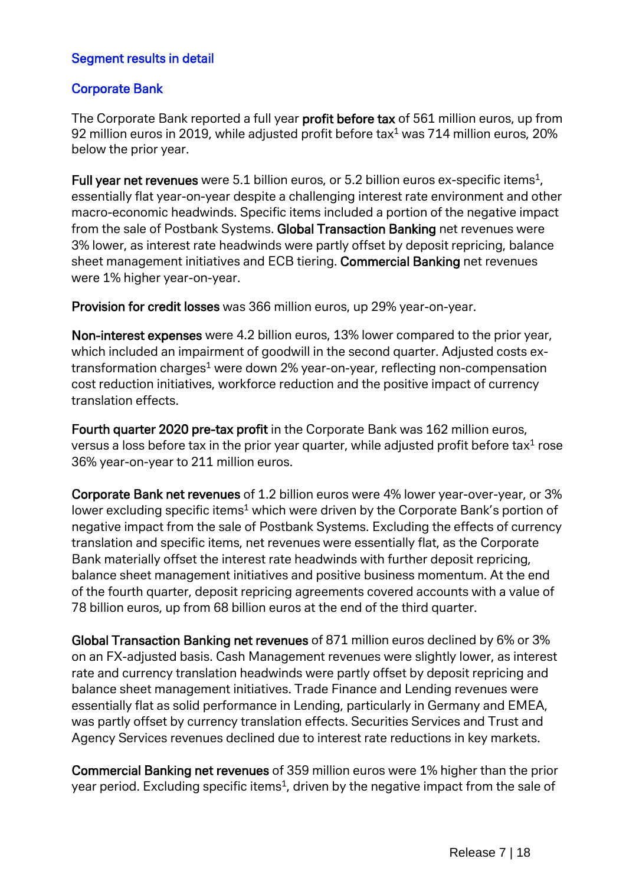#### Segment results in detail

#### Corporate Bank

The Corporate Bank reported a full year **profit before tax** of 561 million euros, up from 92 million euros in 2019, while adjusted profit before tax $1/2$  was 714 million euros, 20% below the prior year.

Full year net revenues were 5.1 billion euros, or 5.2 billion euros ex-specific items<sup>1</sup>. essentially flat year-on-year despite a challenging interest rate environment and other macro-economic headwinds. Specific items included a portion of the negative impact from the sale of Postbank Systems. Global Transaction Banking net revenues were 3% lower, as interest rate headwinds were partly offset by deposit repricing, balance sheet management initiatives and ECB tiering. Commercial Banking net revenues were 1% higher year-on-year.

Provision for credit losses was 366 million euros, up 29% year-on-year.

Non-interest expenses were 4.2 billion euros, 13% lower compared to the prior year, which included an impairment of goodwill in the second quarter. Adjusted costs extransformation charges<sup>1</sup> were down 2% year-on-year, reflecting non-compensation cost reduction initiatives, workforce reduction and the positive impact of currency translation effects.

Fourth quarter 2020 pre-tax profit in the Corporate Bank was 162 million euros, versus a loss before tax in the prior year quarter, while adjusted profit before tax<sup>1</sup> rose 36% year-on-year to 211 million euros.

Corporate Bank net revenues of 1.2 billion euros were 4% lower year-over-year, or 3% lower excluding specific items<sup>1</sup> which were driven by the Corporate Bank's portion of negative impact from the sale of Postbank Systems. Excluding the effects of currency translation and specific items, net revenues were essentially flat, as the Corporate Bank materially offset the interest rate headwinds with further deposit repricing, balance sheet management initiatives and positive business momentum. At the end of the fourth quarter, deposit repricing agreements covered accounts with a value of 78 billion euros, up from 68 billion euros at the end of the third quarter.

Global Transaction Banking net revenues of 871 million euros declined by 6% or 3% on an FX-adjusted basis. Cash Management revenues were slightly lower, as interest rate and currency translation headwinds were partly offset by deposit repricing and balance sheet management initiatives. Trade Finance and Lending revenues were essentially flat as solid performance in Lending, particularly in Germany and EMEA, was partly offset by currency translation effects. Securities Services and Trust and Agency Services revenues declined due to interest rate reductions in key markets.

Commercial Banking net revenues of 359 million euros were 1% higher than the prior year period. Excluding specific items<sup>1</sup>, driven by the negative impact from the sale of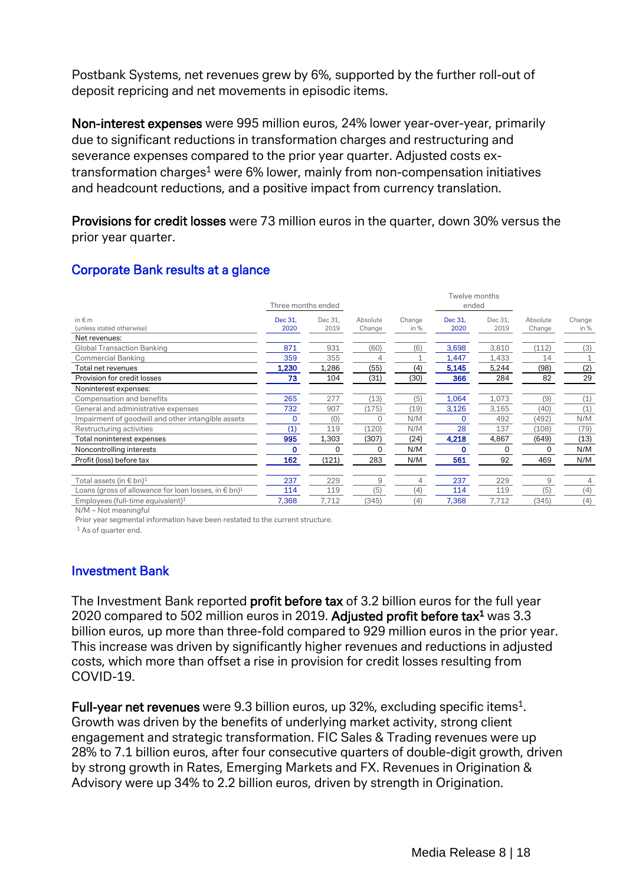Postbank Systems, net revenues grew by 6%, supported by the further roll-out of deposit repricing and net movements in episodic items.

Non-interest expenses were 995 million euros, 24% lower year-over-year, primarily due to significant reductions in transformation charges and restructuring and severance expenses compared to the prior year quarter. Adjusted costs extransformation charges<sup>1</sup> were 6% lower, mainly from non-compensation initiatives and headcount reductions, and a positive impact from currency translation.

Provisions for credit losses were 73 million euros in the quarter, down 30% versus the prior year quarter.

|                                                                           | Three months ended |         |          |        | Twelve months<br>ended |         |          |        |
|---------------------------------------------------------------------------|--------------------|---------|----------|--------|------------------------|---------|----------|--------|
| in $\notin$ m                                                             | Dec 31.            | Dec 31. | Absolute | Change | Dec 31,                | Dec 31. | Absolute | Change |
| (unless stated otherwise)                                                 | 2020               | 2019    | Change   | in %   | 2020                   | 2019    | Change   | in %   |
| Net revenues:                                                             |                    |         |          |        |                        |         |          |        |
| <b>Global Transaction Banking</b>                                         | 871                | 931     | (60)     | (6)    | 3,698                  | 3,810   | (112)    | (3)    |
| <b>Commercial Banking</b>                                                 | 359                | 355     |          |        | 1,447                  | 1,433   | 14       |        |
| Total net revenues                                                        | 1,230              | 1,286   | (55)     | (4)    | 5,145                  | 5,244   | (98)     | (2)    |
| Provision for credit losses                                               | 73                 | 104     | (31)     | (30)   | 366                    | 284     | 82       | 29     |
| Noninterest expenses:                                                     |                    |         |          |        |                        |         |          |        |
| Compensation and benefits                                                 | 265                | 277     | (13)     | (5)    | 1,064                  | 1,073   | (9)      | (1)    |
| General and administrative expenses                                       | 732                | 907     | (175)    | (19)   | 3,126                  | 3,165   | (40)     | (1)    |
| Impairment of goodwill and other intangible assets                        | 0                  | (0)     | $\Omega$ | N/M    | $\Omega$               | 492     | (492)    | N/M    |
| Restructuring activities                                                  | (1)                | 119     | (120)    | N/M    | 28                     | 137     | (108)    | (79)   |
| Total noninterest expenses                                                | 995                | 1,303   | (307)    | (24)   | 4,218                  | 4,867   | (649)    | (13)   |
| Noncontrolling interests                                                  | o                  | 0       | $\Omega$ | N/M    | n                      | 0       | 0        | N/M    |
| Profit (loss) before tax                                                  | 162                | (121)   | 283      | N/M    | 561                    | 92      | 469      | N/M    |
| Total assets (in $\epsilon$ bn) <sup>1</sup>                              | 237                | 229     | 9        | 4      | 237                    | 229     | 9        | 4      |
| Loans (gross of allowance for loan losses, in $\epsilon$ bn) <sup>1</sup> | 114                | 119     | (5)      | (4)    | 114                    | 119     | (5)      | (4)    |
| Employees (full-time equivalent) <sup>1</sup>                             | 7,368              | 7,712   | (345)    | (4)    | 7,368                  | 7,712   | (345)    | (4)    |

# Corporate Bank results at a glance

N/M – Not meaningful

Prior year segmental information have been restated to the current structure.

<sup>1</sup> As of quarter end.

# Investment Bank

The Investment Bank reported profit before tax of 3.2 billion euros for the full vear 2020 compared to 502 million euros in 2019. Adjusted profit before tax<sup>1</sup> was 3.3 billion euros, up more than three-fold compared to 929 million euros in the prior year. This increase was driven by significantly higher revenues and reductions in adjusted costs, which more than offset a rise in provision for credit losses resulting from COVID-19.

Full-year net revenues were 9.3 billion euros, up 32%, excluding specific items<sup>1</sup>. Growth was driven by the benefits of underlying market activity, strong client engagement and strategic transformation. FIC Sales & Trading revenues were up 28% to 7.1 billion euros, after four consecutive quarters of double-digit growth, driven by strong growth in Rates, Emerging Markets and FX. Revenues in Origination & Advisory were up 34% to 2.2 billion euros, driven by strength in Origination.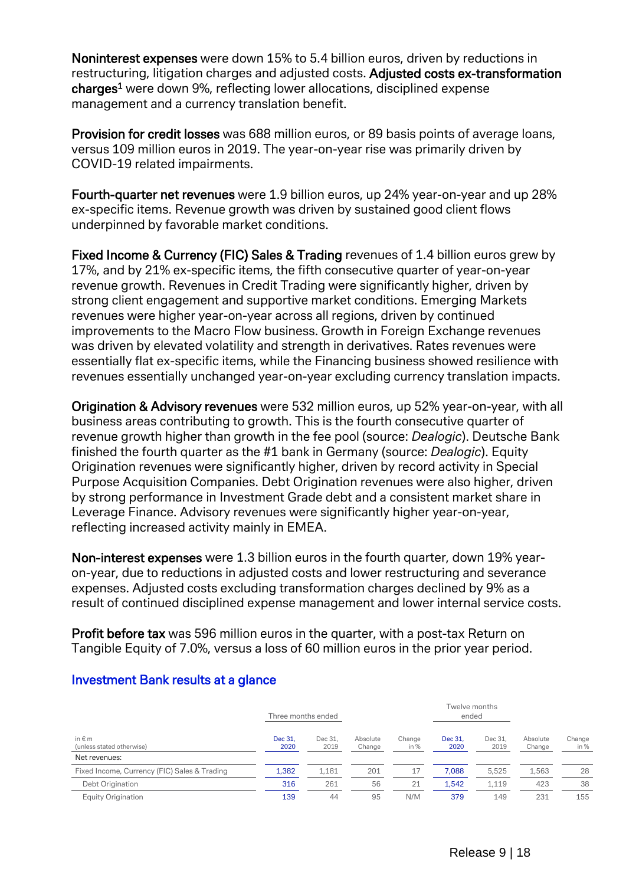Noninterest expenses were down 15% to 5.4 billion euros, driven by reductions in restructuring, litigation charges and adjusted costs. Adjusted costs ex-transformation charges1 were down 9%, reflecting lower allocations, disciplined expense management and a currency translation benefit.

Provision for credit losses was 688 million euros, or 89 basis points of average loans, versus 109 million euros in 2019. The year-on-year rise was primarily driven by COVID-19 related impairments.

Fourth-quarter net revenues were 1.9 billion euros, up 24% year-on-year and up 28% ex-specific items. Revenue growth was driven by sustained good client flows underpinned by favorable market conditions.

Fixed Income & Currency (FIC) Sales & Trading revenues of 1.4 billion euros grew by 17%, and by 21% ex-specific items, the fifth consecutive quarter of year-on-year revenue growth. Revenues in Credit Trading were significantly higher, driven by strong client engagement and supportive market conditions. Emerging Markets revenues were higher year-on-year across all regions, driven by continued improvements to the Macro Flow business. Growth in Foreign Exchange revenues was driven by elevated volatility and strength in derivatives. Rates revenues were essentially flat ex-specific items, while the Financing business showed resilience with revenues essentially unchanged year-on-year excluding currency translation impacts.

Origination & Advisory revenues were 532 million euros, up 52% year-on-year, with all business areas contributing to growth. This is the fourth consecutive quarter of revenue growth higher than growth in the fee pool (source: *Dealogic*). Deutsche Bank finished the fourth quarter as the #1 bank in Germany (source: *Dealogic*). Equity Origination revenues were significantly higher, driven by record activity in Special Purpose Acquisition Companies. Debt Origination revenues were also higher, driven by strong performance in Investment Grade debt and a consistent market share in Leverage Finance. Advisory revenues were significantly higher year-on-year, reflecting increased activity mainly in EMEA.

Non-interest expenses were 1.3 billion euros in the fourth quarter, down 19% yearon-year, due to reductions in adjusted costs and lower restructuring and severance expenses. Adjusted costs excluding transformation charges declined by 9% as a result of continued disciplined expense management and lower internal service costs.

Profit before tax was 596 million euros in the quarter, with a post-tax Return on Tangible Equity of 7.0%, versus a loss of 60 million euros in the prior year period.

|                                              | Three months ended |                 |                    |                | Twelve months<br>ended |                 |                    |                |
|----------------------------------------------|--------------------|-----------------|--------------------|----------------|------------------------|-----------------|--------------------|----------------|
| in $\epsilon$ m<br>(unless stated otherwise) | Dec 31.<br>2020    | Dec 31.<br>2019 | Absolute<br>Change | Change<br>in % | Dec 31.<br>2020        | Dec 31.<br>2019 | Absolute<br>Change | Change<br>in % |
| Net revenues:                                |                    |                 |                    |                |                        |                 |                    |                |
| Fixed Income, Currency (FIC) Sales & Trading | 1.382              | 1.181           | 201                | 17             | 7.088                  | 5.525           | 1.563              | 28             |
| Debt Origination                             | 316                | 261             | 56                 | 21             | 1.542                  | 1.119           | 423                | 38             |
| <b>Equity Origination</b>                    | 139                | 44              | 95                 | N/M            | 379                    | 149             | 231                | 155            |

#### Investment Bank results at a glance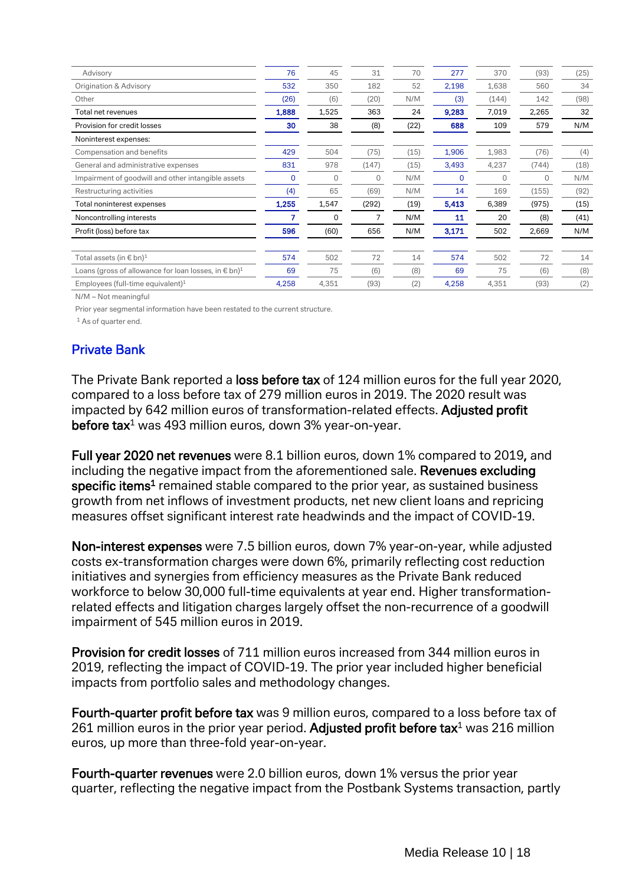| Advisory                                                                  | 76    | 45    | 31    | 70   | 277   | 370          | (93)  | (25) |
|---------------------------------------------------------------------------|-------|-------|-------|------|-------|--------------|-------|------|
| Origination & Advisory                                                    | 532   | 350   | 182   | 52   | 2,198 | 1,638        | 560   | 34   |
| Other                                                                     | (26)  | (6)   | (20)  | N/M  | (3)   | (144)        | 142   | (98) |
| Total net revenues                                                        | 1,888 | 1,525 | 363   | 24   | 9,283 | 7,019        | 2,265 | 32   |
| Provision for credit losses                                               | 30    | 38    | (8)   | (22) | 688   | 109          | 579   | N/M  |
| Noninterest expenses:                                                     |       |       |       |      |       |              |       |      |
| Compensation and benefits                                                 | 429   | 504   | (75)  | (15) | 1,906 | 1,983        | (76)  | (4)  |
| General and administrative expenses                                       | 831   | 978   | (147) | (15) | 3,493 | 4,237        | (744) | (18) |
| Impairment of goodwill and other intangible assets                        | 0     | 0     | 0     | N/M  | 0     | $\mathbf{0}$ | 0     | N/M  |
| Restructuring activities                                                  | (4)   | 65    | (69)  | N/M  | 14    | 169          | (155) | (92) |
| Total noninterest expenses                                                | 1,255 | 1,547 | (292) | (19) | 5,413 | 6,389        | (975) | (15) |
| Noncontrolling interests                                                  |       | 0     |       | N/M  | 11    | 20           | (8)   | (41) |
| Profit (loss) before tax                                                  | 596   | (60)  | 656   | N/M  | 3,171 | 502          | 2,669 | N/M  |
| Total assets (in $\epsilon$ bn) <sup>1</sup>                              | 574   | 502   | 72    | 14   | 574   | 502          | 72    | 14   |
| Loans (gross of allowance for loan losses, in $\epsilon$ bn) <sup>1</sup> | 69    | 75    | (6)   | (8)  | 69    | 75           | (6)   | (8)  |
| Employees (full-time equivalent) <sup>1</sup>                             | 4,258 | 4,351 | (93)  | (2)  | 4,258 | 4,351        | (93)  | (2)  |
|                                                                           |       |       |       |      |       |              |       |      |

N/M – Not meaningful

Prior year segmental information have been restated to the current structure.

<sup>1</sup> As of quarter end.

#### Private Bank

The Private Bank reported a loss before tax of 124 million euros for the full year 2020, compared to a loss before tax of 279 million euros in 2019. The 2020 result was impacted by 642 million euros of transformation-related effects. Adjusted profit before tax<sup>1</sup> was 493 million euros, down 3% year-on-year.

Full year 2020 net revenues were 8.1 billion euros, down 1% compared to 2019, and including the negative impact from the aforementioned sale. Revenues excluding specific items<sup>1</sup> remained stable compared to the prior year, as sustained business growth from net inflows of investment products, net new client loans and repricing measures offset significant interest rate headwinds and the impact of COVID-19.

Non-interest expenses were 7.5 billion euros, down 7% year-on-year, while adjusted costs ex-transformation charges were down 6%, primarily reflecting cost reduction initiatives and synergies from efficiency measures as the Private Bank reduced workforce to below 30,000 full-time equivalents at year end. Higher transformationrelated effects and litigation charges largely offset the non-recurrence of a goodwill impairment of 545 million euros in 2019.

Provision for credit losses of 711 million euros increased from 344 million euros in 2019, reflecting the impact of COVID-19. The prior year included higher beneficial impacts from portfolio sales and methodology changes.

Fourth-quarter profit before tax was 9 million euros, compared to a loss before tax of 261 million euros in the prior year period. Adjusted profit before tax $<sup>1</sup>$  was 216 million</sup> euros, up more than three-fold year-on-year.

Fourth-quarter revenues were 2.0 billion euros, down 1% versus the prior year quarter, reflecting the negative impact from the Postbank Systems transaction, partly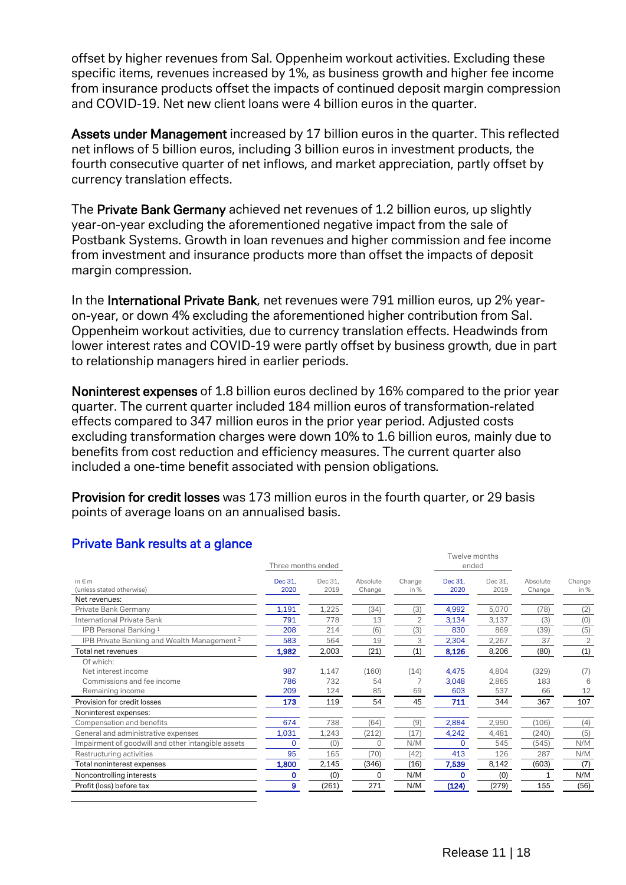offset by higher revenues from Sal. Oppenheim workout activities. Excluding these specific items, revenues increased by 1%, as business growth and higher fee income from insurance products offset the impacts of continued deposit margin compression and COVID-19. Net new client loans were 4 billion euros in the quarter.

Assets under Management increased by 17 billion euros in the quarter. This reflected net inflows of 5 billion euros, including 3 billion euros in investment products, the fourth consecutive quarter of net inflows, and market appreciation, partly offset by currency translation effects.

The Private Bank Germany achieved net revenues of 1.2 billion euros, up slightly year-on-year excluding the aforementioned negative impact from the sale of Postbank Systems. Growth in loan revenues and higher commission and fee income from investment and insurance products more than offset the impacts of deposit margin compression.

In the International Private Bank, net revenues were 791 million euros, up 2% yearon-year, or down 4% excluding the aforementioned higher contribution from Sal. Oppenheim workout activities, due to currency translation effects. Headwinds from lower interest rates and COVID-19 were partly offset by business growth, due in part to relationship managers hired in earlier periods.

Noninterest expenses of 1.8 billion euros declined by 16% compared to the prior year quarter. The current quarter included 184 million euros of transformation-related effects compared to 347 million euros in the prior year period. Adjusted costs excluding transformation charges were down 10% to 1.6 billion euros, mainly due to benefits from cost reduction and efficiency measures. The current quarter also included a one-time benefit associated with pension obligations*.*

Provision for credit losses was 173 million euros in the fourth quarter, or 29 basis points of average loans on an annualised basis.

|                                                        |                    |         |              |                | Twelve months |         |          |                |
|--------------------------------------------------------|--------------------|---------|--------------|----------------|---------------|---------|----------|----------------|
|                                                        | Three months ended |         |              |                | ended         |         |          |                |
| in $\notin$ m                                          | Dec 31.            | Dec 31. | Absolute     | Change         | Dec 31.       | Dec 31. | Absolute | Change         |
| (unless stated otherwise)                              | 2020               | 2019    | Change       | in $%$         | 2020          | 2019    | Change   | in %           |
| Net revenues:                                          |                    |         |              |                |               |         |          |                |
| Private Bank Germany                                   | 1,191              | 1,225   | (34)         | (3)            | 4,992         | 5,070   | (78)     | (2)            |
| <b>International Private Bank</b>                      | 791                | 778     | 13           | $\overline{2}$ | 3,134         | 3,137   | (3)      | (0)            |
| IPB Personal Banking 1                                 | 208                | 214     | (6)          | (3)            | 830           | 869     | (39)     | (5)            |
| IPB Private Banking and Wealth Management <sup>2</sup> | 583                | 564     | 19           | 3              | 2,304         | 2,267   | 37       | $\overline{2}$ |
| Total net revenues                                     | 1,982              | 2,003   | (21)         | (1)            | 8,126         | 8,206   | (80)     | (1)            |
| Of which:                                              |                    |         |              |                |               |         |          |                |
| Net interest income                                    | 987                | 1,147   | (160)        | (14)           | 4,475         | 4,804   | (329)    | (7)            |
| Commissions and fee income                             | 786                | 732     | 54           |                | 3,048         | 2,865   | 183      | 6              |
| Remaining income                                       | 209                | 124     | 85           | 69             | 603           | 537     | 66       | 12             |
| Provision for credit losses                            | 173                | 119     | 54           | 45             | 711           | 344     | 367      | 107            |
| Noninterest expenses:                                  |                    |         |              |                |               |         |          |                |
| Compensation and benefits                              | 674                | 738     | (64)         | (9)            | 2,884         | 2,990   | (106)    | (4)            |
| General and administrative expenses                    | 1,031              | 1,243   | (212)        | (17)           | 4,242         | 4,481   | (240)    | (5)            |
| Impairment of goodwill and other intangible assets     | 0                  | (0)     | <sup>0</sup> | N/M            | <sup>0</sup>  | 545     | (545)    | N/M            |
| Restructuring activities                               | 95                 | 165     | (70)         | (42)           | 413           | 126     | 287      | N/M            |
| Total noninterest expenses                             | 1,800              | 2,145   | (346)        | (16)           | 7,539         | 8,142   | (603)    | (7)            |
| Noncontrolling interests                               | 0                  | (0)     | 0            | N/M            | O             | (0)     |          | N/M            |
| Profit (loss) before tax                               | 9                  | (261)   | 271          | N/M            | (124)         | (279)   | 155      | (56)           |
|                                                        |                    |         |              |                |               |         |          |                |

# Private Bank results at a glance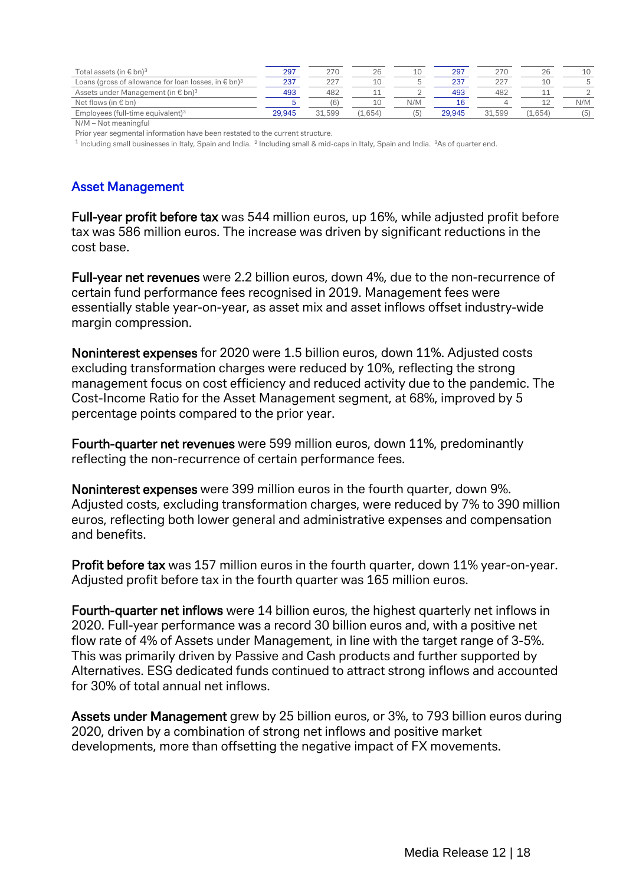| Total assets (in $\in$ bn) <sup>3</sup>                                   | 297    | 270           | 26      | 10  | 297    |        | ZU.     | 10  |
|---------------------------------------------------------------------------|--------|---------------|---------|-----|--------|--------|---------|-----|
| Loans (gross of allowance for loan losses, in $\epsilon$ bn) <sup>3</sup> | 237    | $\cap$ $\cap$ |         |     | 237    | 227    |         |     |
| Assets under Management (in $\epsilon$ bn) <sup>3</sup>                   | 493    | 482           |         |     | 493    | 482    |         |     |
| Net flows (in $\epsilon$ bn)                                              |        |               |         | N/M |        |        |         | N/M |
| Employees (full-time equivalent) <sup>3</sup>                             | 29.945 | 31,599        | (1.654) |     | 29.945 | 31,599 | (1.654) | (5) |

N/M – Not meaningful

Prior year segmental information have been restated to the current structure.

 $1$  Including small businesses in Italy, Spain and India.  $2$  Including small & mid-caps in Italy, Spain and India.  $3$ As of quarter end.

#### Asset Management

Full-year profit before tax was 544 million euros, up 16%, while adjusted profit before tax was 586 million euros. The increase was driven by significant reductions in the cost base.

Full-year net revenues were 2.2 billion euros, down 4%, due to the non-recurrence of certain fund performance fees recognised in 2019. Management fees were essentially stable year-on-year, as asset mix and asset inflows offset industry-wide margin compression.

Noninterest expenses for 2020 were 1.5 billion euros, down 11%. Adjusted costs excluding transformation charges were reduced by 10%, reflecting the strong management focus on cost efficiency and reduced activity due to the pandemic. The Cost-Income Ratio for the Asset Management segment, at 68%, improved by 5 percentage points compared to the prior year.

Fourth-quarter net revenues were 599 million euros, down 11%, predominantly reflecting the non-recurrence of certain performance fees.

Noninterest expenses were 399 million euros in the fourth quarter, down 9%. Adjusted costs, excluding transformation charges, were reduced by 7% to 390 million euros, reflecting both lower general and administrative expenses and compensation and benefits.

Profit before tax was 157 million euros in the fourth quarter, down 11% year-on-year. Adjusted profit before tax in the fourth quarter was 165 million euros.

Fourth-quarter net inflows were 14 billion euros, the highest quarterly net inflows in 2020. Full-year performance was a record 30 billion euros and, with a positive net flow rate of 4% of Assets under Management, in line with the target range of 3-5%. This was primarily driven by Passive and Cash products and further supported by Alternatives. ESG dedicated funds continued to attract strong inflows and accounted for 30% of total annual net inflows.

Assets under Management grew by 25 billion euros, or 3%, to 793 billion euros during 2020, driven by a combination of strong net inflows and positive market developments, more than offsetting the negative impact of FX movements.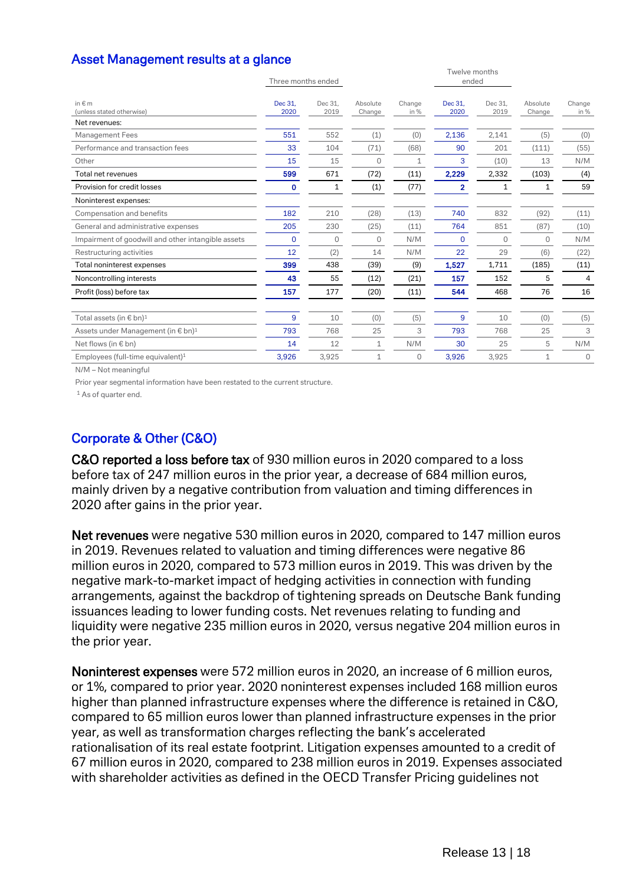| Asset Management results at a glance |  |
|--------------------------------------|--|
|--------------------------------------|--|

| Dec 31,<br>2020 | Dec 31,<br>2019 | Absolute<br>Change | Change<br>in % | Dec 31,<br>2020 | Dec 31,<br>2019 | Absolute<br>Change     | Change<br>in % |
|-----------------|-----------------|--------------------|----------------|-----------------|-----------------|------------------------|----------------|
|                 |                 |                    |                |                 |                 |                        |                |
| 551             | 552             | (1)                | (0)            | 2,136           | 2,141           | (5)                    | (0)            |
| 33              | 104             | (71)               | (68)           | 90              | 201             | (111)                  | (55)           |
| 15              | 15              | $\Omega$           | 1              | 3               | (10)            | 13                     | N/M            |
| 599             | 671             | (72)               | (11)           | 2,229           | 2,332           | (103)                  | (4)            |
| 0               | 1               | (1)                | (77)           | $\overline{2}$  | 1               | 1                      | 59             |
|                 |                 |                    |                |                 |                 |                        |                |
| 182             | 210             | (28)               | (13)           | 740             | 832             | (92)                   | (11)           |
| 205             | 230             | (25)               | (11)           | 764             | 851             | (87)                   | (10)           |
| $\mathbf 0$     | $\mathbf{0}$    | $\mathbf{0}$       | N/M            | $\mathbf 0$     | $\Omega$        | $\Omega$               | N/M            |
| 12              | (2)             | 14                 | N/M            | 22              | 29              | (6)                    | (22)           |
| 399             | 438             | (39)               | (9)            | 1,527           | 1,711           | (185)                  | (11)           |
| 43              | 55              | (12)               | (21)           | 157             | 152             | 5                      | 4              |
| 157             | 177             | (20)               | (11)           | 544             | 468             | 76                     | 16             |
| 9               | 10              | (0)                | (5)            | 9               | 10              | (0)                    | (5)            |
| 793             | 768             | 25                 | 3              | 793             | 768             | 25                     | 3              |
| 14              | 12              | 1                  | N/M            | 30              | 25              | 5                      | N/M            |
| 3,926           | 3,925           | 1                  | 0              | 3,926           | 3,925           | $\mathbf{1}$           | $\Omega$       |
|                 |                 | Three months ended |                |                 |                 | Twelve months<br>ended |                |

N/M – Not meaningful

Prior year segmental information have been restated to the current structure.

<sup>1</sup> As of quarter end.

# Corporate & Other (C&O)

C&O reported a loss before tax of 930 million euros in 2020 compared to a loss before tax of 247 million euros in the prior year, a decrease of 684 million euros, mainly driven by a negative contribution from valuation and timing differences in 2020 after gains in the prior year.

Net revenues were negative 530 million euros in 2020, compared to 147 million euros in 2019. Revenues related to valuation and timing differences were negative 86 million euros in 2020, compared to 573 million euros in 2019. This was driven by the negative mark-to-market impact of hedging activities in connection with funding arrangements, against the backdrop of tightening spreads on Deutsche Bank funding issuances leading to lower funding costs. Net revenues relating to funding and liquidity were negative 235 million euros in 2020, versus negative 204 million euros in the prior year.

Noninterest expenses were 572 million euros in 2020, an increase of 6 million euros, or 1%, compared to prior year. 2020 noninterest expenses included 168 million euros higher than planned infrastructure expenses where the difference is retained in C&O, compared to 65 million euros lower than planned infrastructure expenses in the prior year, as well as transformation charges reflecting the bank's accelerated rationalisation of its real estate footprint. Litigation expenses amounted to a credit of 67 million euros in 2020, compared to 238 million euros in 2019. Expenses associated with shareholder activities as defined in the OECD Transfer Pricing guidelines not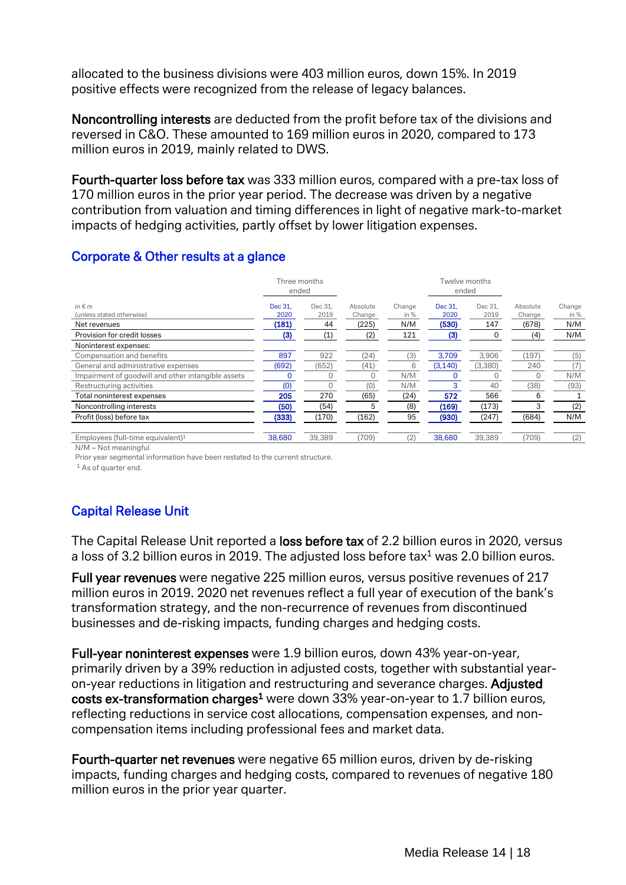allocated to the business divisions were 403 million euros, down 15%. In 2019 positive effects were recognized from the release of legacy balances.

Noncontrolling interests are deducted from the profit before tax of the divisions and reversed in C&O. These amounted to 169 million euros in 2020, compared to 173 million euros in 2019, mainly related to DWS.

Fourth-quarter loss before tax was 333 million euros, compared with a pre-tax loss of 170 million euros in the prior year period. The decrease was driven by a negative contribution from valuation and timing differences in light of negative mark-to-market impacts of hedging activities, partly offset by lower litigation expenses.

|                                                            | ended                    | Three months          |                             |                       |                          | Twelve months<br>ended |                             |                       |
|------------------------------------------------------------|--------------------------|-----------------------|-----------------------------|-----------------------|--------------------------|------------------------|-----------------------------|-----------------------|
| in $\notin$ m<br>(unless stated otherwise)<br>Net revenues | Dec 31.<br>2020<br>(181) | Dec 31.<br>2019<br>44 | Absolute<br>Change<br>(225) | Change<br>in %<br>N/M | Dec 31,<br>2020<br>(530) | Dec 31.<br>2019<br>147 | Absolute<br>Change<br>(678) | Change<br>in %<br>N/M |
| Provision for credit losses                                | (3)                      | (1)                   | (2)                         | 121                   | (3)                      |                        | (4)                         | N/M                   |
| Noninterest expenses:                                      |                          |                       |                             |                       |                          |                        |                             |                       |
| Compensation and benefits                                  | 897                      | 922                   | (24)                        | (3)                   | 3,709                    | 3,906                  | (197)                       | (5)                   |
| General and administrative expenses                        | (692)                    | (652)                 | (41)                        | 6                     | (3, 140)                 | (3,380)                | 240                         | (7)                   |
| Impairment of goodwill and other intangible assets         |                          |                       |                             | N/M                   |                          |                        | $\Omega$                    | N/M                   |
| Restructuring activities                                   | (0)                      | O                     | (0)                         | N/M                   | 3                        | 40                     | (38)                        | (93)                  |
| Total noninterest expenses                                 | 205                      | 270                   | (65)                        | (24)                  | 572                      | 566                    | 6                           |                       |
| Noncontrolling interests                                   | (50)                     | (54)                  | 5                           | (8)                   | (169)                    | (173)                  | 3                           | (2)                   |
| Profit (loss) before tax                                   | (333)                    | (170)                 | (162)                       | 95                    | (930)                    | (247)                  | (684)                       | N/M                   |
| Employees (full-time equivalent) <sup>1</sup>              | 38,680                   | 39,389                | (709)                       | (2)                   | 38,680                   | 39,389                 | (709)                       | (2)                   |

# Corporate & Other results at a glance

N/M – Not meaningful Prior year segmental information have been restated to the current structure.

<sup>1</sup> As of quarter end.

# Capital Release Unit

The Capital Release Unit reported a loss before tax of 2.2 billion euros in 2020, versus a loss of 3.2 billion euros in 2019. The adjusted loss before tax<sup>1</sup> was 2.0 billion euros.

Full year revenues were negative 225 million euros, versus positive revenues of 217 million euros in 2019. 2020 net revenues reflect a full year of execution of the bank's transformation strategy, and the non-recurrence of revenues from discontinued businesses and de-risking impacts, funding charges and hedging costs.

Full-year noninterest expenses were 1.9 billion euros, down 43% year-on-year, primarily driven by a 39% reduction in adjusted costs, together with substantial yearon-year reductions in litigation and restructuring and severance charges. Adjusted costs ex-transformation charges<sup>1</sup> were down 33% year-on-year to 1.7 billion euros, reflecting reductions in service cost allocations, compensation expenses, and noncompensation items including professional fees and market data.

Fourth-quarter net revenues were negative 65 million euros, driven by de-risking impacts, funding charges and hedging costs, compared to revenues of negative 180 million euros in the prior year quarter.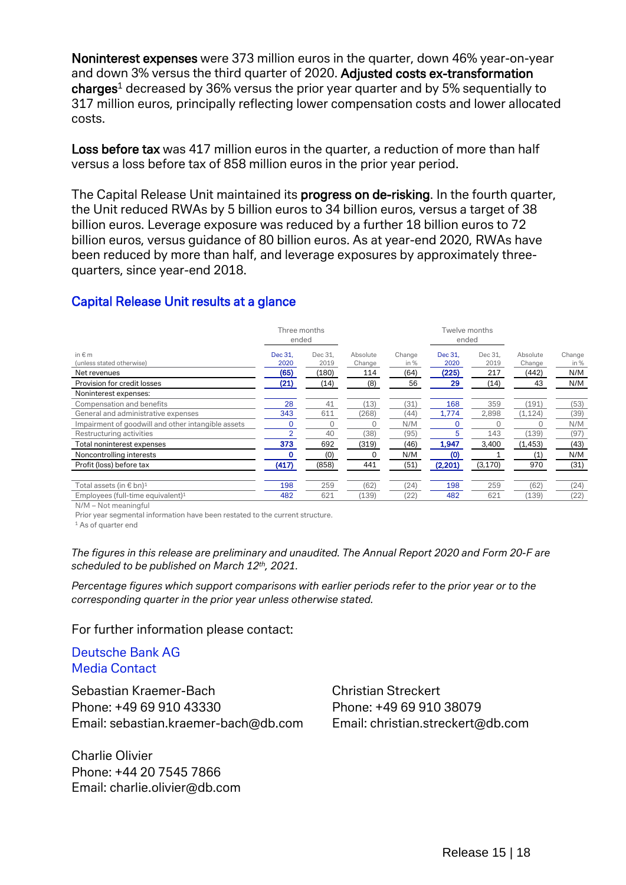Noninterest expenses were 373 million euros in the quarter, down 46% year-on-year and down 3% versus the third quarter of 2020. Adjusted costs ex-transformation  $charge<sup>1</sup>$  decreased by 36% versus the prior year quarter and by 5% sequentially to 317 million euros, principally reflecting lower compensation costs and lower allocated costs.

Loss before tax was 417 million euros in the quarter, a reduction of more than half versus a loss before tax of 858 million euros in the prior year period.

The Capital Release Unit maintained its **progress on de-risking**. In the fourth quarter, the Unit reduced RWAs by 5 billion euros to 34 billion euros, versus a target of 38 billion euros. Leverage exposure was reduced by a further 18 billion euros to 72 billion euros, versus guidance of 80 billion euros. As at year-end 2020, RWAs have been reduced by more than half, and leverage exposures by approximately threequarters, since year-end 2018.

#### Capital Release Unit results at a glance

|                                                    | Three months<br>ended |         |          |        |         | Twelve months<br>ended |          |        |
|----------------------------------------------------|-----------------------|---------|----------|--------|---------|------------------------|----------|--------|
| in $\notin$ m                                      | Dec 31.               | Dec 31. | Absolute | Change | Dec 31. | Dec 31,                | Absolute | Change |
| (unless stated otherwise)                          | 2020                  | 2019    | Change   | in %   | 2020    | 2019                   | Change   | in %   |
| Net revenues                                       | (65)                  | (180)   | 114      | (64)   | (225)   | 217                    | (442)    | N/M    |
| Provision for credit losses                        | (21)                  | (14)    | (8)      | 56     | 29      | (14)                   | 43       | N/M    |
| Noninterest expenses:                              |                       |         |          |        |         |                        |          |        |
| Compensation and benefits                          | 28                    | 41      | (13)     | (31)   | 168     | 359                    | (191)    | (53)   |
| General and administrative expenses                | 343                   | 611     | (268)    | (44)   | 1,774   | 2,898                  | (1, 124) | (39)   |
| Impairment of goodwill and other intangible assets |                       |         |          | N/M    |         |                        |          | N/M    |
| Restructuring activities                           |                       | 40      | (38)     | (95)   |         | 143                    | (139)    | (97)   |
| Total noninterest expenses                         | 373                   | 692     | (319)    | (46)   | 1,947   | 3,400                  | (1, 453) | (43)   |
| Noncontrolling interests                           |                       | (0)     |          | N/M    | (0)     |                        | (1)      | N/M    |
| Profit (loss) before tax                           | (417)                 | (858)   | 441      | (51)   | (2,201) | (3, 170)               | 970      | (31)   |
|                                                    |                       |         |          |        |         |                        |          |        |
| Total assets (in € bn) <sup>1</sup>                | 198                   | 259     | (62)     | (24)   | 198     | 259                    | (62)     | (24)   |
| Employees (full-time equivalent) $1$               | 482                   | 621     | (139)    | (22)   | 482     | 621                    | (139)    | (22)   |

N/M – Not meaningful

Prior year segmental information have been restated to the current structure.

<sup>1</sup> As of quarter end

*The figures in this release are preliminary and unaudited. The Annual Report 2020 and Form 20-F are scheduled to be published on March 12th, 2021.* 

*Percentage figures which support comparisons with earlier periods refer to the prior year or to the corresponding quarter in the prior year unless otherwise stated.*

For further information please contact:

Deutsche Bank AG Media Contact

Sebastian Kraemer-Bach Christian Streckert Phone: +49 69 910 43330 Phone: +49 69 910 38079 Email: [sebastian.kraemer-bach@db.com](mailto:sebastian.kraemer-bach@db.com) Email: [christian.streckert@db.com](mailto:christian.streckert@db.com)

Charlie Olivier Phone: +44 20 7545 7866 Email: charlie.olivier@db.com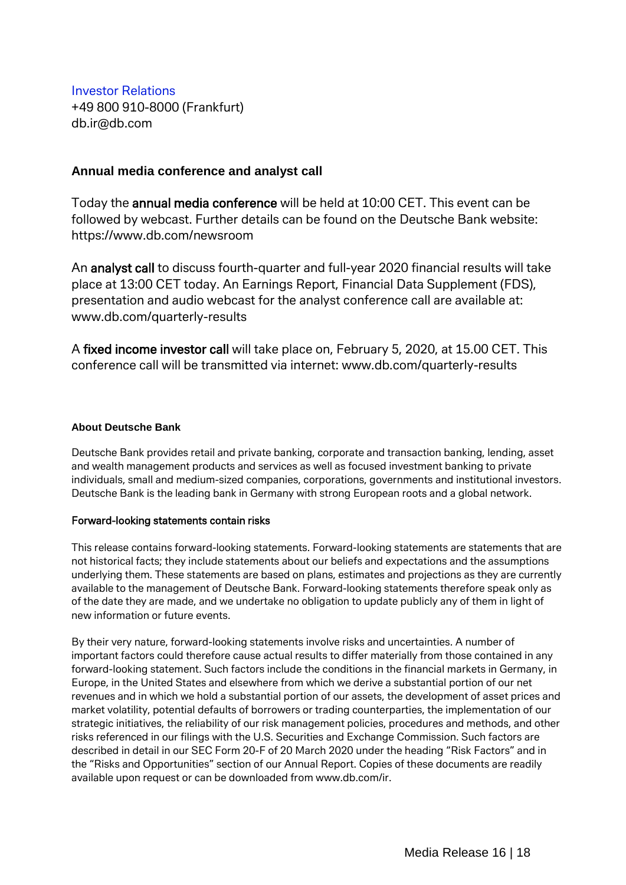Investor Relations +49 800 910-8000 (Frankfurt) db.ir@db.com

#### **Annual media conference and analyst call**

Today the annual media conference will be held at 10:00 CET. This event can be followed by webcast. Further details can be found on the Deutsche Bank website: https://www.db.com/newsroom

An analyst call to discuss fourth-quarter and full-year 2020 financial results will take place at 13:00 CET today. An Earnings Report, Financial Data Supplement (FDS), presentation and audio webcast for the analyst conference call are available at: [www.db.com/quarterly-results](http://www.db.com/quarterly-results)

A fixed income investor call will take place on, February 5, 2020, at 15.00 CET. This conference call will be transmitted via internet: [www.db.com/quarterly-results](http://www.db.com/quarterly-results)

#### **About Deutsche Bank**

Deutsche Bank provides retail and private banking, corporate and transaction banking, lending, asset and wealth management products and services as well as focused investment banking to private individuals, small and medium-sized companies, corporations, governments and institutional investors. Deutsche Bank is the leading bank in Germany with strong European roots and a global network.

#### Forward-looking statements contain risks

This release contains forward-looking statements. Forward-looking statements are statements that are not historical facts; they include statements about our beliefs and expectations and the assumptions underlying them. These statements are based on plans, estimates and projections as they are currently available to the management of Deutsche Bank. Forward-looking statements therefore speak only as of the date they are made, and we undertake no obligation to update publicly any of them in light of new information or future events.

By their very nature, forward-looking statements involve risks and uncertainties. A number of important factors could therefore cause actual results to differ materially from those contained in any forward-looking statement. Such factors include the conditions in the financial markets in Germany, in Europe, in the United States and elsewhere from which we derive a substantial portion of our net revenues and in which we hold a substantial portion of our assets, the development of asset prices and market volatility, potential defaults of borrowers or trading counterparties, the implementation of our strategic initiatives, the reliability of our risk management policies, procedures and methods, and other risks referenced in our filings with the U.S. Securities and Exchange Commission. Such factors are described in detail in our SEC Form 20-F of 20 March 2020 under the heading "Risk Factors" and in the "Risks and Opportunities" section of our Annual Report. Copies of these documents are readily available upon request or can be downloaded fro[m www.db.com/ir.](http://www.db.com/ir)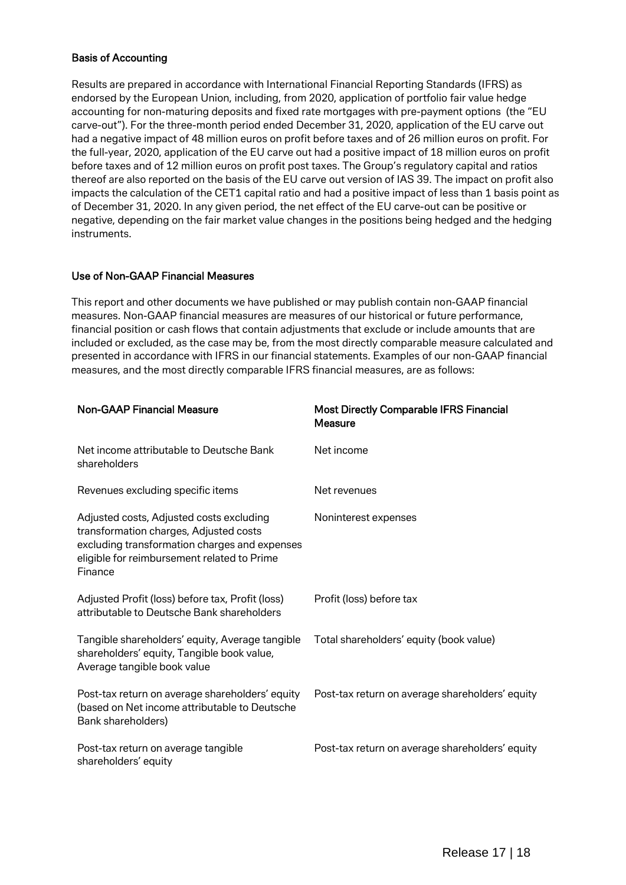#### Basis of Accounting

Results are prepared in accordance with International Financial Reporting Standards (IFRS) as endorsed by the European Union, including, from 2020, application of portfolio fair value hedge accounting for non-maturing deposits and fixed rate mortgages with pre-payment options (the "EU carve-out"). For the three-month period ended December 31, 2020, application of the EU carve out had a negative impact of 48 million euros on profit before taxes and of 26 million euros on profit. For the full-year, 2020, application of the EU carve out had a positive impact of 18 million euros on profit before taxes and of 12 million euros on profit post taxes. The Group's regulatory capital and ratios thereof are also reported on the basis of the EU carve out version of IAS 39. The impact on profit also impacts the calculation of the CET1 capital ratio and had a positive impact of less than 1 basis point as of December 31, 2020. In any given period, the net effect of the EU carve-out can be positive or negative, depending on the fair market value changes in the positions being hedged and the hedging instruments.

#### Use of Non-GAAP Financial Measures

This report and other documents we have published or may publish contain non-GAAP financial measures. Non-GAAP financial measures are measures of our historical or future performance, financial position or cash flows that contain adjustments that exclude or include amounts that are included or excluded, as the case may be, from the most directly comparable measure calculated and presented in accordance with IFRS in our financial statements. Examples of our non-GAAP financial measures, and the most directly comparable IFRS financial measures, are as follows:

| <b>Non-GAAP Financial Measure</b>                                                                                                                                                             | <b>Most Directly Comparable IFRS Financial</b><br>Measure |
|-----------------------------------------------------------------------------------------------------------------------------------------------------------------------------------------------|-----------------------------------------------------------|
| Net income attributable to Deutsche Bank<br>shareholders                                                                                                                                      | Net income                                                |
| Revenues excluding specific items                                                                                                                                                             | Net revenues                                              |
| Adjusted costs, Adjusted costs excluding<br>transformation charges, Adjusted costs<br>excluding transformation charges and expenses<br>eligible for reimbursement related to Prime<br>Finance | Noninterest expenses                                      |
| Adjusted Profit (loss) before tax, Profit (loss)<br>attributable to Deutsche Bank shareholders                                                                                                | Profit (loss) before tax                                  |
| Tangible shareholders' equity, Average tangible<br>shareholders' equity, Tangible book value,<br>Average tangible book value                                                                  | Total shareholders' equity (book value)                   |
| Post-tax return on average shareholders' equity<br>(based on Net income attributable to Deutsche<br>Bank shareholders)                                                                        | Post-tax return on average shareholders' equity           |
| Post-tax return on average tangible<br>shareholders' equity                                                                                                                                   | Post-tax return on average shareholders' equity           |